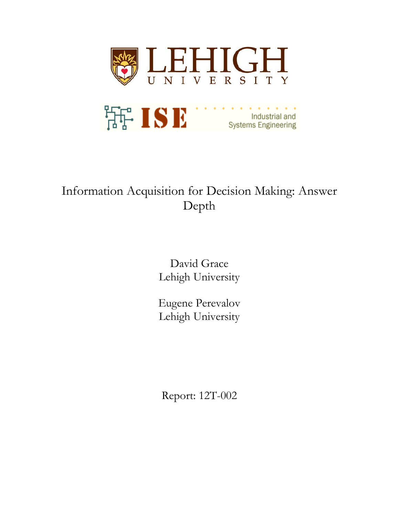

# Information Acquisition for Decision Making: Answer Depth

David Grace Lehigh University

Eugene Perevalov Lehigh University

Report: 12T-002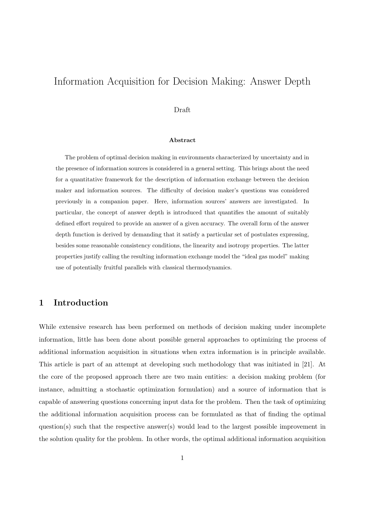## Information Acquisition for Decision Making: Answer Depth

#### Draft

#### **Abstract**

The problem of optimal decision making in environments characterized by uncertainty and in the presence of information sources is considered in a general setting. This brings about the need for a quantitative framework for the description of information exchange between the decision maker and information sources. The difficulty of decision maker's questions was considered previously in a companion paper. Here, information sources' answers are investigated. In particular, the concept of answer depth is introduced that quantifies the amount of suitably defined effort required to provide an answer of a given accuracy. The overall form of the answer depth function is derived by demanding that it satisfy a particular set of postulates expressing, besides some reasonable consistency conditions, the linearity and isotropy properties. The latter properties justify calling the resulting information exchange model the "ideal gas model" making use of potentially fruitful parallels with classical thermodynamics.

## **1 Introduction**

While extensive research has been performed on methods of decision making under incomplete information, little has been done about possible general approaches to optimizing the process of additional information acquisition in situations when extra information is in principle available. This article is part of an attempt at developing such methodology that was initiated in [21]. At the core of the proposed approach there are two main entities: a decision making problem (for instance, admitting a stochastic optimization formulation) and a source of information that is capable of answering questions concerning input data for the problem. Then the task of optimizing the additional information acquisition process can be formulated as that of finding the optimal question(s) such that the respective answer(s) would lead to the largest possible improvement in the solution quality for the problem. In other words, the optimal additional information acquisition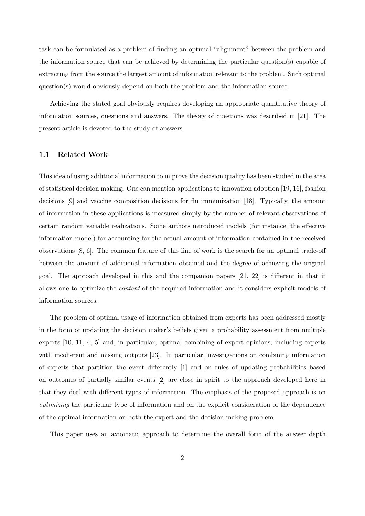task can be formulated as a problem of finding an optimal "alignment" between the problem and the information source that can be achieved by determining the particular question(s) capable of extracting from the source the largest amount of information relevant to the problem. Such optimal question(s) would obviously depend on both the problem and the information source.

Achieving the stated goal obviously requires developing an appropriate quantitative theory of information sources, questions and answers. The theory of questions was described in [21]. The present article is devoted to the study of answers.

#### **1.1 Related Work**

This idea of using additional information to improve the decision quality has been studied in the area of statistical decision making. One can mention applications to innovation adoption [19, 16], fashion decisions [9] and vaccine composition decisions for flu immunization [18]. Typically, the amount of information in these applications is measured simply by the number of relevant observations of certain random variable realizations. Some authors introduced models (for instance, the effective information model) for accounting for the actual amount of information contained in the received observations [8, 6]. The common feature of this line of work is the search for an optimal trade-off between the amount of additional information obtained and the degree of achieving the original goal. The approach developed in this and the companion papers [21, 22] is different in that it allows one to optimize the *content* of the acquired information and it considers explicit models of information sources.

The problem of optimal usage of information obtained from experts has been addressed mostly in the form of updating the decision maker's beliefs given a probability assessment from multiple experts [10, 11, 4, 5] and, in particular, optimal combining of expert opinions, including experts with incoherent and missing outputs [23]. In particular, investigations on combining information of experts that partition the event differently [1] and on rules of updating probabilities based on outcomes of partially similar events [2] are close in spirit to the approach developed here in that they deal with different types of information. The emphasis of the proposed approach is on *optimizing* the particular type of information and on the explicit consideration of the dependence of the optimal information on both the expert and the decision making problem.

This paper uses an axiomatic approach to determine the overall form of the answer depth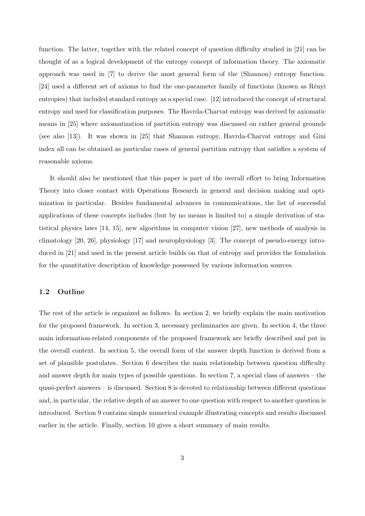function. The latter, together with the related concept of question difficulty studied in [21] can be thought of as a logical development of the entropy concept of information theory. The axiomatic approach was used in [7] to derive the most general form of the (Shannon) entropy function. [24] used a different set of axioms to find the one-parameter family of functions (known as Rényi entropies) that included standard entropy as a special case. [12] introduced the concept of structural entropy and used for classification purposes. The Havrda-Charvat entropy was derived by axiomatic means in [25] where axiomatization of partition entropy was discussed on rather general grounds (see also [13]). It was shown in [25] that Shannon entropy, Havrda-Charvat entropy and Gini index all can be obtained as particular cases of general partition entropy that satisfies a system of reasonable axioms.

It should also be mentioned that this paper is part of the overall effort to bring Information Theory into closer contact with Operations Research in general and decision making and optimization in particular. Besides fundamental advances in communications, the list of successful applications of these concepts includes (but by no means is limited to) a simple derivation of statistical physics laws [14, 15], new algorithms in computer vision [27], new methods of analysis in climatology [20, 26], physiology [17] and neurophysiology [3]. The concept of pseudo-energy introduced in [21] and used in the present article builds on that of entropy and provides the foundation for the quantitative description of knowledge possessed by various information sources.

#### **1.2 Outline**

The rest of the article is organized as follows. In section 2, we briefly explain the main motivation for the proposed framework. In section 3, necessary preliminaries are given. In section 4, the three main information-related components of the proposed framework are briefly described and put in the overall context. In section 5, the overall form of the answer depth function is derived from a set of plausible postulates. Section 6 describes the main relationship between question difficulty and answer depth for main types of possible questions. In section 7, a special class of answers – the quasi-perfect answers – is discussed. Section 8 is devoted to relationship between different questions and, in particular, the relative depth of an answer to one question with respect to another question is introduced. Section 9 contains simple numerical example illustrating concepts and results discussed earlier in the article. Finally, section 10 gives a short summary of main results.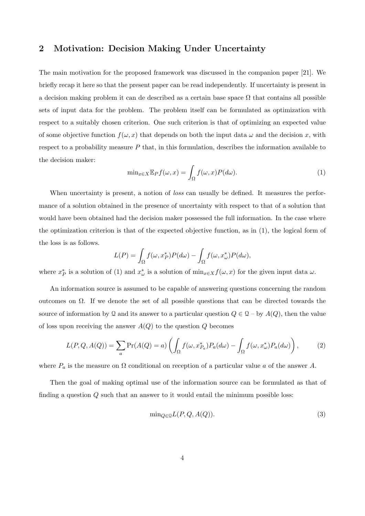## **2 Motivation: Decision Making Under Uncertainty**

The main motivation for the proposed framework was discussed in the companion paper [21]. We briefly recap it here so that the present paper can be read independently. If uncertainty is present in a decision making problem it can de described as a certain base space  $\Omega$  that contains all possible sets of input data for the problem. The problem itself can be formulated as optimization with respect to a suitably chosen criterion. One such criterion is that of optimizing an expected value of some objective function  $f(\omega, x)$  that depends on both the input data  $\omega$  and the decision x, with respect to a probability measure *P* that, in this formulation, describes the information available to the decision maker:

$$
\min_{x \in X} \mathbb{E}_P f(\omega, x) = \int_{\Omega} f(\omega, x) P(d\omega).
$$
\n(1)

When uncertainty is present, a notion of *loss* can usually be defined. It measures the performance of a solution obtained in the presence of uncertainty with respect to that of a solution that would have been obtained had the decision maker possessed the full information. In the case where the optimization criterion is that of the expected objective function, as in (1), the logical form of the loss is as follows.

$$
L(P) = \int_{\Omega} f(\omega, x_P^*) P(d\omega) - \int_{\Omega} f(\omega, x_{\omega}^*) P(d\omega),
$$

where  $x_P^*$  is a solution of (1) and  $x_\omega^*$  is a solution of  $\min_{x \in X} f(\omega, x)$  for the given input data  $\omega$ .

An information source is assumed to be capable of answering questions concerning the random outcomes on  $\Omega$ . If we denote the set of all possible questions that can be directed towards the source of information by Q and its answer to a particular question  $Q \in \mathcal{Q}$  – by  $A(Q)$ , then the value of loss upon receiving the answer  $A(Q)$  to the question  $Q$  becomes

$$
L(P,Q,A(Q)) = \sum_{a} \Pr(A(Q) = a) \left( \int_{\Omega} f(\omega, x_{P_a}^*) P_a(d\omega) - \int_{\Omega} f(\omega, x_{\omega}^*) P_a(d\omega) \right), \tag{2}
$$

where  $P_a$  is the measure on  $\Omega$  conditional on reception of a particular value *a* of the answer *A*.

Then the goal of making optimal use of the information source can be formulated as that of finding a question *Q* such that an answer to it would entail the minimum possible loss:

$$
\min_{Q \in \mathcal{Q}} L(P, Q, A(Q)).\tag{3}
$$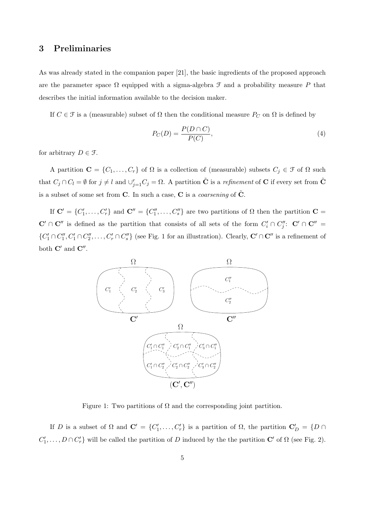## **3 Preliminaries**

As was already stated in the companion paper [21], the basic ingredients of the proposed approach are the parameter space  $\Omega$  equipped with a sigma-algebra  $\mathcal F$  and a probability measure P that describes the initial information available to the decision maker.

If  $C \in \mathcal{F}$  is a (measurable) subset of  $\Omega$  then the conditional measure  $P_C$  on  $\Omega$  is defined by

$$
P_C(D) = \frac{P(D \cap C)}{P(C)},\tag{4}
$$

for arbitrary  $D \in \mathcal{F}$ .

A partition  $\mathbf{C} = \{C_1, \ldots, C_r\}$  of  $\Omega$  is a collection of (measurable) subsets  $C_j \in \mathcal{F}$  of  $\Omega$  such that  $C_j \cap C_l = \emptyset$  for  $j \neq l$  and  $\cup_{j=1}^r C_j = \Omega$ . A partition  $\tilde{C}$  is a *refinement* of C if every set from  $\tilde{C}$ is a subset of some set from  $C$ . In such a case,  $C$  is a *coarsening* of  $\tilde{C}$ .

If  $\mathbf{C}' = \{C'_1, \ldots, C'_r\}$  and  $\mathbf{C}'' = \{C''_1, \ldots, C''_s\}$  are two partitions of  $\Omega$  then the partition  $\mathbf{C} =$  $\mathbf{C}' \cap \mathbf{C}''$  is defined as the partition that consists of all sets of the form  $C_i' \cap C_j''$ :  $\mathbf{C}' \cap \mathbf{C}'' =$  $\{C'_1\cap C''_1, C'_1\cap C''_2, \ldots, C'_r\cap C''_s\}$  (see Fig. 1 for an illustration). Clearly,  $\mathbf{C}'\cap \mathbf{C}''$  is a refinement of both **C***′* and **C***′′* .



Figure 1: Two partitions of  $\Omega$  and the corresponding joint partition.

If *D* is a subset of  $\Omega$  and  $\mathbf{C}' = \{C'_1, \ldots, C'_r\}$  is a partition of  $\Omega$ , the partition  $\mathbf{C}'_D = \{D \cap$  $C'_1, \ldots, D \cap C'_r$  will be called the partition of *D* induced by the the partition **C**<sup>*'*</sup> of  $\Omega$  (see Fig. 2).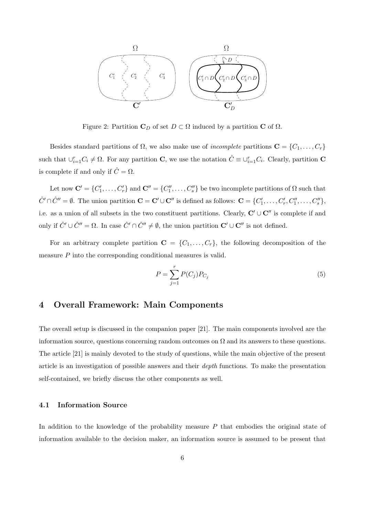

Figure 2: Partition  $C_D$  of set  $D \subset \Omega$  induced by a partition **C** of  $\Omega$ .

Besides standard partitions of  $\Omega$ , we also make use of *incomplete* partitions  $\mathbf{C} = \{C_1, \ldots, C_r\}$ such that  $\cup_{i=1}^{r} C_i \neq \Omega$ . For any partition **C**, we use the notation  $\hat{C} \equiv \cup_{i=1}^{r} C_i$ . Clearly, partition **C** is complete if and only if  $\hat{C} = \Omega$ .

Let now  $\mathbf{C}' = \{C'_1, \ldots, C'_r\}$  and  $\mathbf{C}'' = \{C''_1, \ldots, C''_s\}$  be two incomplete partitions of  $\Omega$  such that  $\hat{C}' \cap \hat{C}'' = \emptyset$ . The union partition  $\mathbf{C} = \mathbf{C}' \cup \mathbf{C}''$  is defined as follows:  $\mathbf{C} = \{C'_1, \dots, C'_r, C''_1, \dots, C''_s\}$ , i.e. as a union of all subsets in the two constituent partitions. Clearly, **C***′ ∪* **C***′′* is complete if and only if  $\hat{C}' \cup \hat{C}'' = \Omega$ . In case  $\hat{C}' \cap \hat{C}'' \neq \emptyset$ , the union partition  $\mathbf{C}' \cup \mathbf{C}''$  is not defined.

For an arbitrary complete partition  $\mathbf{C} = \{C_1, \ldots, C_r\}$ , the following decomposition of the measure *P* into the corresponding conditional measures is valid.

$$
P = \sum_{j=1}^{r} P(C_j) P_{C_j}
$$
 (5)

## **4 Overall Framework: Main Components**

The overall setup is discussed in the companion paper [21]. The main components involved are the information source, questions concerning random outcomes on  $\Omega$  and its answers to these questions. The article [21] is mainly devoted to the study of questions, while the main objective of the present article is an investigation of possible answers and their *depth* functions. To make the presentation self-contained, we briefly discuss the other components as well.

#### **4.1 Information Source**

In addition to the knowledge of the probability measure *P* that embodies the original state of information available to the decision maker, an information source is assumed to be present that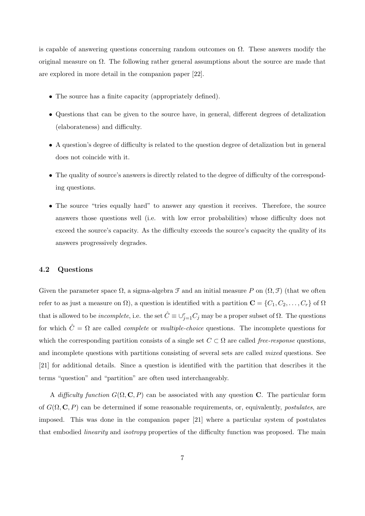is capable of answering questions concerning random outcomes on  $\Omega$ . These answers modify the original measure on  $\Omega$ . The following rather general assumptions about the source are made that are explored in more detail in the companion paper [22].

- The source has a finite capacity (appropriately defined).
- Questions that can be given to the source have, in general, different degrees of detalization (elaborateness) and difficulty.
- A question's degree of difficulty is related to the question degree of detalization but in general does not coincide with it.
- The quality of source's answers is directly related to the degree of difficulty of the corresponding questions.
- The source "tries equally hard" to answer any question it receives. Therefore, the source answers those questions well (i.e. with low error probabilities) whose difficulty does not exceed the source's capacity. As the difficulty exceeds the source's capacity the quality of its answers progressively degrades.

#### **4.2 Questions**

Given the parameter space  $\Omega$ , a sigma-algebra  $\mathcal F$  and an initial measure P on  $(\Omega, \mathcal F)$  (that we often refer to as just a measure on  $\Omega$ ), a question is identified with a partition  $\mathbf{C} = \{C_1, C_2, \ldots, C_r\}$  of  $\Omega$ that is allowed to be *incomplete*, i.e. the set  $\hat{C} \equiv \cup_{j=1}^r C_j$  may be a proper subset of  $\Omega$ . The questions for which  $\hat{C} = \Omega$  are called *complete* or *multiple-choice* questions. The incomplete questions for which the corresponding partition consists of a single set  $C \subset \Omega$  are called *free-response* questions, and incomplete questions with partitions consisting of several sets are called *mixed* questions. See [21] for additional details. Since a question is identified with the partition that describes it the terms "question" and "partition" are often used interchangeably.

A *difficulty function*  $G(\Omega, \mathbf{C}, P)$  can be associated with any question **C**. The particular form of *G*(Ω*,* **C***, P*) can be determined if some reasonable requirements, or, equivalently, *postulates*, are imposed. This was done in the companion paper [21] where a particular system of postulates that embodied *linearity* and *isotropy* properties of the difficulty function was proposed. The main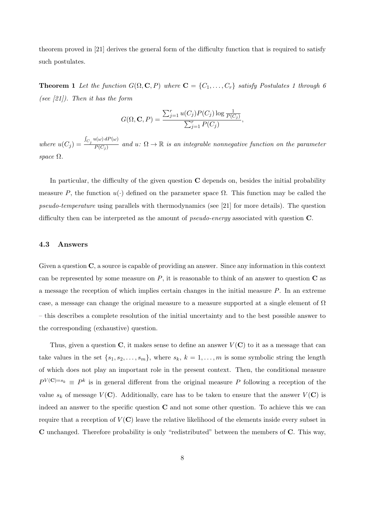theorem proved in [21] derives the general form of the difficulty function that is required to satisfy such postulates.

**Theorem 1** Let the function  $G(\Omega, \mathbf{C}, P)$  where  $\mathbf{C} = \{C_1, \ldots, C_r\}$  satisfy Postulates 1 through 6 *(see [21]). Then it has the form*

$$
G(\Omega, \mathbf{C}, P) = \frac{\sum_{j=1}^{r} u(C_j) P(C_j) \log \frac{1}{P(C_j)}}{\sum_{j=1}^{r} P(C_j)},
$$

*where*  $u(C_j) =$  $\int_{C_j} u(\omega) dP(\omega)$  $\overline{P(C_j)}$  and  $u: \Omega \to \mathbb{R}$  is an integrable nonnegative function on the parameter *space* Ω*.*

In particular, the difficulty of the given question **C** depends on, besides the initial probability measure P, the function  $u(\cdot)$  defined on the parameter space  $\Omega$ . This function may be called the *pseudo-temperature* using parallels with thermodynamics (see [21] for more details). The question difficulty then can be interpreted as the amount of *pseudo-energy* associated with question **C**.

#### **4.3 Answers**

Given a question **C**, a source is capable of providing an answer. Since any information in this context can be represented by some measure on *P*, it is reasonable to think of an answer to question **C** as a message the reception of which implies certain changes in the initial measure *P*. In an extreme case, a message can change the original measure to a measure supported at a single element of  $\Omega$ – this describes a complete resolution of the initial uncertainty and to the best possible answer to the corresponding (exhaustive) question.

Thus, given a question  $\bf{C}$ , it makes sense to define an answer  $V(\bf{C})$  to it as a message that can take values in the set  $\{s_1, s_2, \ldots, s_m\}$ , where  $s_k$ ,  $k = 1, \ldots, m$  is some symbolic string the length of which does not play an important role in the present context. Then, the conditional measure  $P^{V(\mathbf{C})=s_k} \equiv P^k$  is in general different from the original measure P following a reception of the value  $s_k$  of message  $V(\mathbf{C})$ . Additionally, care has to be taken to ensure that the answer  $V(\mathbf{C})$  is indeed an answer to the specific question **C** and not some other question. To achieve this we can require that a reception of  $V(\mathbf{C})$  leave the relative likelihood of the elements inside every subset in **C** unchanged. Therefore probability is only "redistributed" between the members of **C**. This way,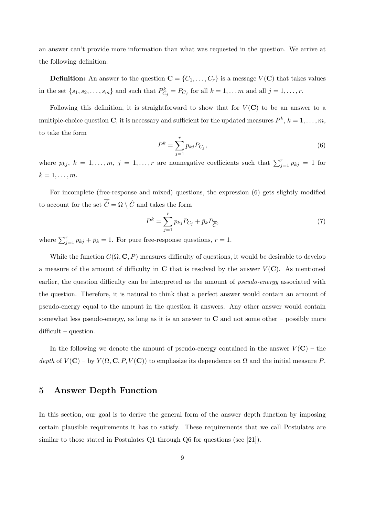an answer can't provide more information than what was requested in the question. We arrive at the following definition.

**Definition:** An answer to the question  $\mathbf{C} = \{C_1, \ldots, C_r\}$  is a message  $V(\mathbf{C})$  that takes values in the set  $\{s_1, s_2, \ldots, s_m\}$  and such that  $P_{C_j}^k = P_{C_j}$  for all  $k = 1, \ldots, m$  and all  $j = 1, \ldots, r$ .

Following this definition, it is straightforward to show that for  $V(\mathbf{C})$  to be an answer to a multiple-choice question **C**, it is necessary and sufficient for the updated measures  $P^k$ ,  $k = 1, \ldots, m$ , to take the form

$$
P^k = \sum_{j=1}^r p_{kj} P_{C_j},
$$
\n(6)

where  $p_{kj}$ ,  $k = 1, \ldots, m$ ,  $j = 1, \ldots, r$  are nonnegative coefficients such that  $\sum_{j=1}^{r} p_{kj} = 1$  for  $k = 1, \ldots, m$ .

For incomplete (free-response and mixed) questions, the expression (6) gets slightly modified to account for the set  $\overline{\hat{C}} = \Omega \setminus \hat{C}$  and takes the form

$$
P^k = \sum_{j=1}^r p_{kj} P_{C_j} + \bar{p}_k P_{\overline{\hat{C}}},\tag{7}
$$

where  $\sum_{j=1}^{r} p_{kj} + \bar{p}_k = 1$ . For pure free-response questions,  $r = 1$ .

While the function  $G(\Omega, \mathbf{C}, P)$  measures difficulty of questions, it would be desirable to develop a measure of the amount of difficulty in  $\bf{C}$  that is resolved by the answer  $V(\bf{C})$ . As mentioned earlier, the question difficulty can be interpreted as the amount of *pseudo-energy* associated with the question. Therefore, it is natural to think that a perfect answer would contain an amount of pseudo-energy equal to the amount in the question it answers. Any other answer would contain somewhat less pseudo-energy, as long as it is an answer to **C** and not some other – possibly more difficult – question.

In the following we denote the amount of pseudo-energy contained in the answer  $V(\mathbf{C})$  – the *depth* of  $V(\mathbf{C})$  – by  $Y(\Omega, \mathbf{C}, P, V(\mathbf{C}))$  to emphasize its dependence on  $\Omega$  and the initial measure P.

## **5 Answer Depth Function**

In this section, our goal is to derive the general form of the answer depth function by imposing certain plausible requirements it has to satisfy. These requirements that we call Postulates are similar to those stated in Postulates Q1 through Q6 for questions (see [21]).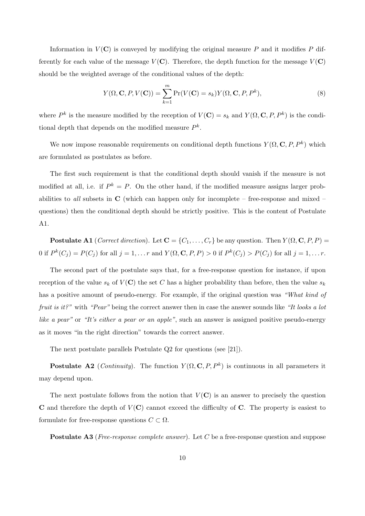Information in  $V(\mathbf{C})$  is conveyed by modifying the original measure P and it modifies P differently for each value of the message  $V(\mathbf{C})$ . Therefore, the depth function for the message  $V(\mathbf{C})$ should be the weighted average of the conditional values of the depth:

$$
Y(\Omega, \mathbf{C}, P, V(\mathbf{C})) = \sum_{k=1}^{m} \Pr(V(\mathbf{C}) = s_k) Y(\Omega, \mathbf{C}, P, P^k),
$$
\n(8)

where  $P^k$  is the measure modified by the reception of  $V(\mathbf{C}) = s_k$  and  $Y(\Omega, \mathbf{C}, P, P^k)$  is the conditional depth that depends on the modified measure *P k* .

We now impose reasonable requirements on conditional depth functions  $Y(\Omega, \mathbf{C}, P, P^k)$  which are formulated as postulates as before.

The first such requirement is that the conditional depth should vanish if the measure is not modified at all, i.e. if  $P^k = P$ . On the other hand, if the modified measure assigns larger probabilities to *all* subsets in  $\bf{C}$  (which can happen only for incomplete – free-response and mixed – questions) then the conditional depth should be strictly positive. This is the content of Postulate A1.

**Postulate A1** (*Correct direction*). Let  $\mathbf{C} = \{C_1, \ldots, C_r\}$  be any question. Then  $Y(\Omega, \mathbf{C}, P, P) =$ 0 if  $P^k(C_j) = P(C_j)$  for all  $j = 1, \ldots r$  and  $Y(\Omega, \mathbf{C}, P, P) > 0$  if  $P^k(C_j) > P(C_j)$  for all  $j = 1, \ldots r$ .

The second part of the postulate says that, for a free-response question for instance, if upon reception of the value  $s_k$  of  $V(\mathbf{C})$  the set *C* has a higher probability than before, then the value  $s_k$ has a positive amount of pseudo-energy. For example, if the original question was *"What kind of fruit is it?"* with *"Pear"* being the correct answer then in case the answer sounds like *"It looks a lot like a pear"* or *"It's either a pear or an apple"*, such an answer is assigned positive pseudo-energy as it moves "in the right direction" towards the correct answer.

The next postulate parallels Postulate Q2 for questions (see [21]).

**Postulate A2** (*Continuity*). The function  $Y(\Omega, \mathbf{C}, P, P^k)$  is continuous in all parameters it may depend upon.

The next postulate follows from the notion that  $V(\mathbf{C})$  is an answer to precisely the question **C** and therefore the depth of  $V(\mathbf{C})$  cannot exceed the difficulty of **C**. The property is easiest to formulate for free-response questions  $C \subset \Omega$ .

**Postulate A3** (*Free-response complete answer*). Let *C* be a free-response question and suppose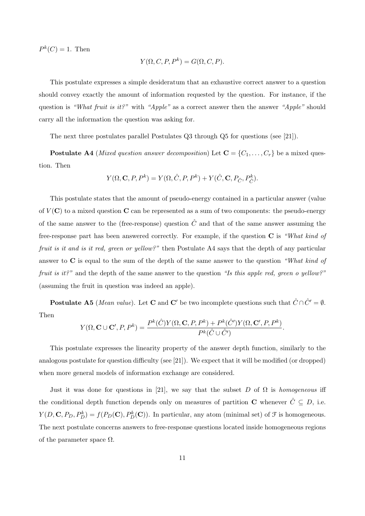$P^k(C) = 1$ . Then

$$
Y(\Omega, C, P, P^k) = G(\Omega, C, P).
$$

This postulate expresses a simple desideratum that an exhaustive correct answer to a question should convey exactly the amount of information requested by the question. For instance, if the question is *"What fruit is it?"* with *"Apple"* as a correct answer then the answer *"Apple"* should carry all the information the question was asking for.

The next three postulates parallel Postulates Q3 through Q5 for questions (see [21]).

**Postulate A4** (*Mixed question answer decomposition*) Let  $\mathbf{C} = \{C_1, \ldots, C_r\}$  be a mixed question. Then

$$
Y(\Omega, \mathbf{C}, P, P^k) = Y(\Omega, \hat{C}, P, P^k) + Y(\hat{C}, \mathbf{C}, P_{\hat{C}}, P_{\hat{C}}^k).
$$

This postulate states that the amount of pseudo-energy contained in a particular answer (value of  $V(\mathbf{C})$  to a mixed question  $\mathbf{C}$  can be represented as a sum of two components: the pseudo-energy of the same answer to the (free-response) question  $\hat{C}$  and that of the same answer assuming the free-response part has been answered correctly. For example, if the question **C** is *"What kind of fruit is it and is it red, green or yellow?"* then Postulate A4 says that the depth of any particular answer to **C** is equal to the sum of the depth of the same answer to the question *"What kind of fruit is it?"* and the depth of the same answer to the question *"Is this apple red, green o yellow?"* (assuming the fruit in question was indeed an apple).

**Postulate A5** (*Mean value*). Let **C** and **C**<sup>*′*</sup> be two incomplete questions such that  $\hat{C} \cap \hat{C}' = \emptyset$ . Then

$$
Y(\Omega, \mathbf{C} \cup \mathbf{C}', P, P^k) = \frac{P^k(\hat{C})Y(\Omega, \mathbf{C}, P, P^k) + P^k(\hat{C}')Y(\Omega, \mathbf{C}', P, P^k)}{P^k(\hat{C} \cup \hat{C}')}.
$$

This postulate expresses the linearity property of the answer depth function, similarly to the analogous postulate for question difficulty (see [21]). We expect that it will be modified (or dropped) when more general models of information exchange are considered.

Just it was done for questions in [21], we say that the subset *D* of  $\Omega$  is *homogeneous* iff the conditional depth function depends only on measures of partition **C** whenever  $\hat{C} \subseteq D$ , i.e.  $Y(D, \mathbf{C}, P_D, P_D^k) = f(P_D(\mathbf{C}), P_D^k(\mathbf{C}))$ . In particular, any atom (minimal set) of  $\mathcal F$  is homogeneous. The next postulate concerns answers to free-response questions located inside homogeneous regions of the parameter space  $\Omega$ .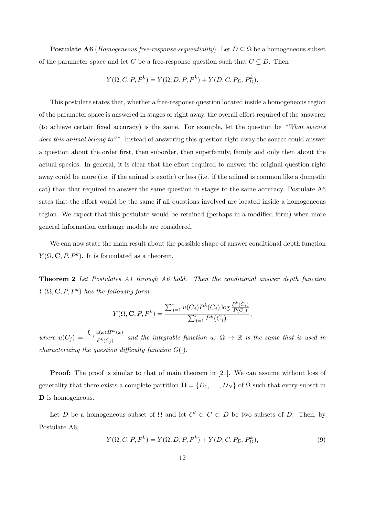**Postulate A6** (*Homogeneous free-response sequentiality*). Let  $D \subseteq \Omega$  be a homogeneous subset of the parameter space and let *C* be a free-response question such that  $C \subseteq D$ . Then

$$
Y(\Omega, C, P, P^k) = Y(\Omega, D, P, P^k) + Y(D, C, P_D, P_D^k).
$$

This postulate states that, whether a free-response question located inside a homogeneous region of the parameter space is answered in stages or right away, the overall effort required of the answerer (to achieve certain fixed accuracy) is the same. For example, let the question be *"What species does this animal belong to?"*. Instead of answering this question right away the source could answer a question about the order first, then suborder, then superfamily, family and only then about the actual species. In general, it is clear that the effort required to answer the original question right away could be more (i.e. if the animal is exotic) or less (i.e. if the animal is common like a domestic cat) than that required to answer the same question in stages to the same accuracy. Postulate A6 sates that the effort would be the same if all questions involved are located inside a homogeneous region. We expect that this postulate would be retained (perhaps in a modified form) when more general information exchange models are considered.

We can now state the main result about the possible shape of answer conditional depth function  $Y(\Omega, \mathbf{C}, P, P^k)$ . It is formulated as a theorem.

**Theorem 2** *Let Postulates A1 through A6 hold. Then the conditional answer depth function*  $Y(\Omega, \mathbf{C}, P, P^k)$  *has the following form* 

$$
Y(\Omega, \mathbf{C}, P, P^k) = \frac{\sum_{j=1}^r u(C_j) P^k(C_j) \log \frac{P^k(C_j)}{P(C_j)}}{\sum_{j=1}^r P^k(C_j)},
$$

 $where u(C_j) =$  $\int_{C_j} u(\omega) dP^k(\omega)$  $\overline{P^k(C_j)}$  and the integrable function  $u: \Omega \to \mathbb{R}$  is the same that is used in *characterizing the question difficulty function*  $G(\cdot)$ *.* 

**Proof:** The proof is similar to that of main theorem in [21]. We can assume without loss of generality that there exists a complete partition  $\mathbf{D} = \{D_1, \ldots, D_N\}$  of  $\Omega$  such that every subset in **D** is homogeneous.

Let *D* be a homogeneous subset of  $\Omega$  and let  $C' \subset C \subset D$  be two subsets of *D*. Then, by Postulate A6,

$$
Y(\Omega, C, P, P^k) = Y(\Omega, D, P, P^k) + Y(D, C, P_D, P_D^k),
$$
\n(9)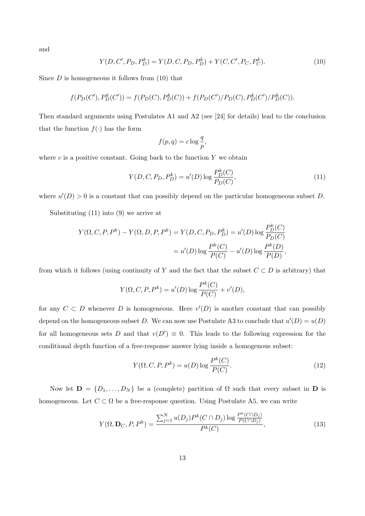and

$$
Y(D, C', P_D, P_D^k) = Y(D, C, P_D, P_D^k) + Y(C, C', P_C, P_C^k).
$$
\n(10)

Since  $D$  is homogeneous it follows from  $(10)$  that

$$
f(P_D(C'), P_D^k(C')) = f(P_D(C), P_D^k(C)) + f(P_D(C')/P_D(C), P_D^k(C')/P_D^k(C)).
$$

Then standard arguments using Postulates A1 and A2 (see [24] for details) lead to the conclusion that the function  $f(\cdot)$  has the form

$$
f(p,q) = c \log \frac{q}{p},
$$

where  $c$  is a positive constant. Going back to the function  $Y$  we obtain

$$
Y(D, C, P_D, P_D^k) = u'(D) \log \frac{P_D^k(C)}{P_D(C)},
$$
\n(11)

where  $u'(D) > 0$  is a constant that can possibly depend on the particular homogeneous subset *D*.

Substituting (11) into (9) we arrive at

$$
Y(\Omega, C, P, P^k) - Y(\Omega, D, P, P^k) = Y(D, C, P_D, P_D^k) = u'(D) \log \frac{P_D^k(C)}{P_D(C)}
$$
  
=  $u'(D) \log \frac{P^k(C)}{P(C)} - u'(D) \log \frac{P^k(D)}{P(D)},$ 

from which it follows (using continuity of *Y* and the fact that the subset  $C \subset D$  is arbitrary) that

$$
Y(\Omega, C, P, P^k) = u'(D) \log \frac{P^k(C)}{P(C)} + v'(D),
$$

for any  $C \subset D$  whenever  $D$  is homogeneous. Here  $v'(D)$  is another constant that can possibly depend on the homogeneous subset *D*. We can now use Postulate A3 to conclude that  $u'(D) = u(D)$ for all homogeneous sets *D* and that  $v(D') \equiv 0$ . This leads to the following expression for the conditional depth function of a free-response answer lying inside a homogenous subset:

$$
Y(\Omega, C, P, P^k) = u(D) \log \frac{P^k(C)}{P(C)}.
$$
\n
$$
(12)
$$

Now let  $\mathbf{D} = \{D_1, \ldots, D_N\}$  be a (complete) partition of  $\Omega$  such that every subset in  $\mathbf{D}$  is homogeneous. Let  $C \subset \Omega$  be a free-response question. Using Postulate A5, we can write

$$
Y(\Omega, \mathbf{D}_C, P, P^k) = \frac{\sum_{j=1}^N u(D_j) P^k(C \cap D_j) \log \frac{P^k(C \cap D_j)}{P(C \cap D_j)}}{P^k(C)},
$$
\n(13)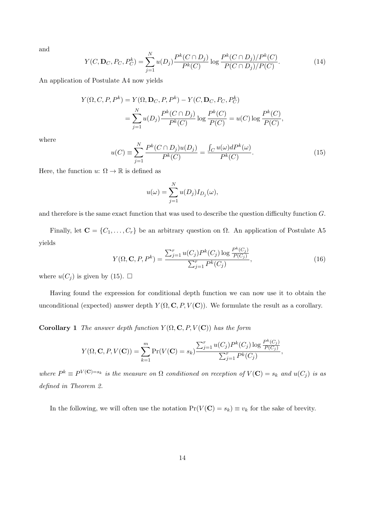and

$$
Y(C, \mathbf{D}_C, P_C, P_C^k) = \sum_{j=1}^N u(D_j) \frac{P^k(C \cap D_j)}{P^k(C)} \log \frac{P^k(C \cap D_j)/P^k(C)}{P(C \cap D_j)/P(C)}.
$$
(14)

An application of Postulate A4 now yields

$$
Y(\Omega, C, P, P^k) = Y(\Omega, \mathbf{D}_C, P, P^k) - Y(C, \mathbf{D}_C, P_C, P_C^k)
$$
  
= 
$$
\sum_{j=1}^N u(D_j) \frac{P^k(C \cap D_j)}{P^k(C)} \log \frac{P^k(C)}{P(C)} = u(C) \log \frac{P^k(C)}{P(C)},
$$

where

$$
u(C) = \sum_{j=1}^{N} \frac{P^k(C \cap D_j)u(D_j)}{P^k(C)} = \frac{\int_C u(\omega)dP^k(\omega)}{P^k(C)}.
$$
\n(15)

Here, the function  $u: \Omega \to \mathbb{R}$  is defined as

$$
u(\omega) = \sum_{j=1}^{N} u(D_j) I_{D_j}(\omega),
$$

and therefore is the same exact function that was used to describe the question difficulty function *G*.

Finally, let  $\mathbf{C} = \{C_1, \ldots, C_r\}$  be an arbitrary question on  $\Omega$ . An application of Postulate A5 yields

$$
Y(\Omega, \mathbf{C}, P, P^k) = \frac{\sum_{j=1}^r u(C_j) P^k(C_j) \log \frac{P^k(C_j)}{P(C_j)}}{\sum_{j=1}^r P^k(C_j)},
$$
\n(16)

where  $u(C_j)$  is given by (15).  $\square$ 

Having found the expression for conditional depth function we can now use it to obtain the unconditional (expected) answer depth  $Y(\Omega, \mathbf{C}, P, V(\mathbf{C}))$ . We formulate the result as a corollary.

**Corollary 1** *The answer depth function*  $Y(\Omega, \mathbf{C}, P, V(\mathbf{C}))$  *has the form* 

$$
Y(\Omega, \mathbf{C}, P, V(\mathbf{C})) = \sum_{k=1}^{m} \Pr(V(\mathbf{C}) = s_k) \frac{\sum_{j=1}^{r} u(C_j) P^k(C_j) \log \frac{P^k(C_j)}{P(C_j)}}{\sum_{j=1}^{r} P^k(C_j)},
$$

where  $P^k \equiv P^{V(\mathbf{C})=s_k}$  is the measure on  $\Omega$  conditioned on reception of  $V(\mathbf{C})=s_k$  and  $u(C_j)$  is as *defined in Theorem 2.*

In the following, we will often use the notation  $Pr(V(C) = s_k) \equiv v_k$  for the sake of brevity.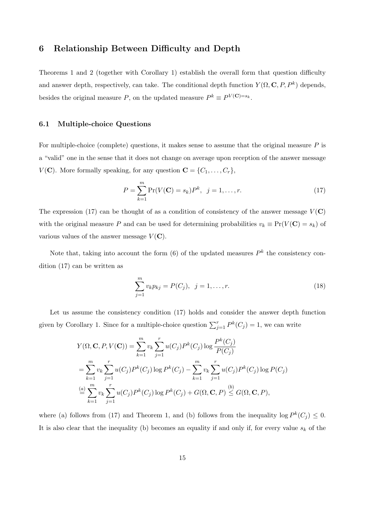## **6 Relationship Between Difficulty and Depth**

Theorems 1 and 2 (together with Corollary 1) establish the overall form that question difficulty and answer depth, respectively, can take. The conditional depth function  $Y(\Omega, \mathbf{C}, P, P^k)$  depends, besides the original measure *P*, on the updated measure  $P^k \equiv P^{V(\mathbf{C})=s_k}$ .

#### **6.1 Multiple-choice Questions**

For multiple-choice (complete) questions, it makes sense to assume that the original measure *P* is a "valid" one in the sense that it does not change on average upon reception of the answer message *V*(**C**). More formally speaking, for any question  $\mathbf{C} = \{C_1, \ldots, C_r\}$ ,

$$
P = \sum_{k=1}^{m} \Pr(V(\mathbf{C}) = s_k) P^k, \ \ j = 1, \dots, r.
$$
 (17)

The expression (17) can be thought of as a condition of consistency of the answer message  $V(\mathbf{C})$ with the original measure *P* and can be used for determining probabilities  $v_k \equiv Pr(V(\mathbf{C}) = s_k)$  of various values of the answer message  $V(\mathbf{C})$ .

Note that, taking into account the form  $(6)$  of the updated measures  $P<sup>k</sup>$  the consistency condition (17) can be written as

$$
\sum_{j=1}^{m} v_k p_{kj} = P(C_j), \ \ j = 1, \dots, r.
$$
 (18)

Let us assume the consistency condition (17) holds and consider the answer depth function given by Corollary 1. Since for a multiple-choice question  $\sum_{j=1}^{r} P^{k}(C_{j}) = 1$ , we can write

$$
Y(\Omega, \mathbf{C}, P, V(\mathbf{C})) = \sum_{k=1}^{m} v_k \sum_{j=1}^{r} u(C_j) P^k(C_j) \log \frac{P^k(C_j)}{P(C_j)}
$$
  
= 
$$
\sum_{k=1}^{m} v_k \sum_{j=1}^{r} u(C_j) P^k(C_j) \log P^k(C_j) - \sum_{k=1}^{m} v_k \sum_{j=1}^{r} u(C_j) P^k(C_j) \log P(C_j)
$$
  
= 
$$
\sum_{k=1}^{m} v_k \sum_{j=1}^{r} u(C_j) P^k(C_j) \log P^k(C_j) + G(\Omega, \mathbf{C}, P) \leq G(\Omega, \mathbf{C}, P),
$$

where (a) follows from (17) and Theorem 1, and (b) follows from the inequality log  $P^k(C_j) \leq 0$ . It is also clear that the inequality (b) becomes an equality if and only if, for every value  $s_k$  of the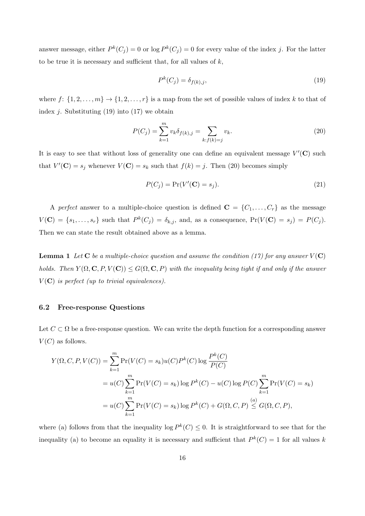answer message, either  $P^{k}(C_j) = 0$  or log  $P^{k}(C_j) = 0$  for every value of the index *j*. For the latter to be true it is necessary and sufficient that, for all values of *k*,

$$
P^k(C_j) = \delta_{f(k),j},\tag{19}
$$

where  $f: \{1, 2, \ldots, m\} \to \{1, 2, \ldots, r\}$  is a map from the set of possible values of index *k* to that of index *j*. Substituting (19) into (17) we obtain

$$
P(C_j) = \sum_{k=1}^{m} v_k \delta_{f(k),j} = \sum_{k: f(k)=j} v_k.
$$
 (20)

It is easy to see that without loss of generality one can define an equivalent message *V ′* (**C**) such that  $V'(\mathbf{C}) = s_j$  whenever  $V(\mathbf{C}) = s_k$  such that  $f(k) = j$ . Then (20) becomes simply

$$
P(C_j) = \Pr(V'(\mathbf{C}) = s_j). \tag{21}
$$

A *perfect* answer to a multiple-choice question is defined  $\mathbf{C} = \{C_1, \ldots, C_r\}$  as the message  $V(\mathbf{C}) = \{s_1, \ldots, s_r\}$  such that  $P^k(C_j) = \delta_{k,j}$ , and, as a consequence,  $Pr(V(\mathbf{C}) = s_j) = P(C_j)$ . Then we can state the result obtained above as a lemma.

**Lemma 1** Let **C** be a multiple-choice question and assume the condition (17) for any answer  $V(\mathbf{C})$ *holds.* Then  $Y(\Omega, \mathbf{C}, P, V(\mathbf{C})) \leq G(\Omega, \mathbf{C}, P)$  with the inequality being tight if and only if the answer  $V(\mathbf{C})$  *is perfect (up to trivial equivalences).* 

#### **6.2 Free-response Questions**

Let  $C \subset \Omega$  be a free-response question. We can write the depth function for a corresponding answer  $V(C)$  as follows.

$$
Y(\Omega, C, P, V(C)) = \sum_{k=1}^{m} \Pr(V(C) = s_k)u(C)P^k(C) \log \frac{P^k(C)}{P(C)}
$$
  
=  $u(C) \sum_{k=1}^{m} \Pr(V(C) = s_k) \log P^k(C) - u(C) \log P(C) \sum_{k=1}^{m} \Pr(V(C) = s_k)$   
=  $u(C) \sum_{k=1}^{m} \Pr(V(C) = s_k) \log P^k(C) + G(\Omega, C, P) \le G(\Omega, C, P),$ 

where (a) follows from that the inequality  $\log P^k(C) \leq 0$ . It is straightforward to see that for the inequality (a) to become an equality it is necessary and sufficient that  $P^k(C) = 1$  for all values k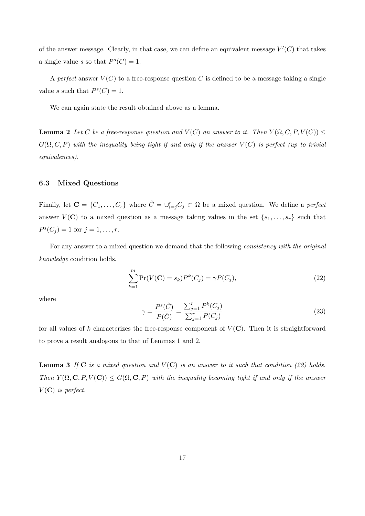of the answer message. Clearly, in that case, we can define an equivalent message *V ′* (*C*) that takes a single value *s* so that  $P^{s}(C) = 1$ .

A *perfect* answer  $V(C)$  to a free-response question C is defined to be a message taking a single value *s* such that  $P^s(C) = 1$ .

We can again state the result obtained above as a lemma.

**Lemma 2** *Let C be a free-response question and*  $V(C)$  *an answer to it. Then*  $Y(\Omega, C, P, V(C))$   $\leq$  $G(\Omega, C, P)$  *with the inequality being tight if and only if the answer*  $V(C)$  *is perfect (up to trivial equivalences).*

#### **6.3 Mixed Questions**

Finally, let  $\mathbf{C} = \{C_1, \ldots, C_r\}$  where  $\hat{C} = \bigcup_{i=j}^r C_j \subset \Omega$  be a mixed question. We define a *perfect* answer  $V(\mathbf{C})$  to a mixed question as a message taking values in the set  $\{s_1, \ldots, s_r\}$  such that  $P^j(C_j) = 1$  for  $j = 1, ..., r$ .

For any answer to a mixed question we demand that the following *consistency with the original knowledge* condition holds.

$$
\sum_{k=1}^{m} \Pr(V(\mathbf{C}) = s_k) P^k(C_j) = \gamma P(C_j),\tag{22}
$$

where

$$
\gamma = \frac{P^s(\hat{C})}{P(\hat{C})} = \frac{\sum_{j=1}^r P^k(C_j)}{\sum_{j=1}^r P(C_j)}
$$
\n(23)

for all values of  $k$  characterizes the free-response component of  $V(\mathbf{C})$ . Then it is straightforward to prove a result analogous to that of Lemmas 1 and 2.

**Lemma 3** *If* **C** *is a mixed question and*  $V(\mathbf{C})$  *is an answer to it such that condition (22) holds. Then*  $Y(\Omega, \mathbf{C}, P, V(\mathbf{C})) \leq G(\Omega, \mathbf{C}, P)$  *with the inequality becoming tight if and only if the answer*  $V(\mathbf{C})$  *is perfect.*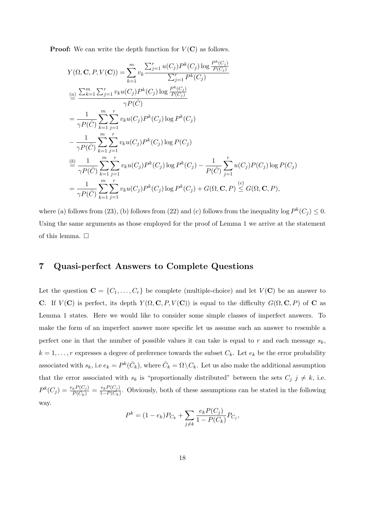**Proof:** We can write the depth function for  $V(\mathbf{C})$  as follows.

$$
Y(\Omega, \mathbf{C}, P, V(\mathbf{C})) = \sum_{k=1}^{m} v_k \frac{\sum_{j=1}^{r} u(C_j) P^k(C_j) \log \frac{P^k(C_j)}{P(C_j)}}{\sum_{j=1}^{r} P^k(C_j)}
$$
  
\n
$$
\stackrel{(a)}{=} \frac{\sum_{k=1}^{m} \sum_{j=1}^{r} v_k u(C_j) P^k(C_j) \log \frac{P^k(C_j)}{P(C_j)}}{\gamma P(\hat{C})}
$$
  
\n
$$
= \frac{1}{\gamma P(\hat{C})} \sum_{k=1}^{m} \sum_{j=1}^{r} v_k u(C_j) P^k(C_j) \log P^k(C_j)
$$
  
\n
$$
- \frac{1}{\gamma P(\hat{C})} \sum_{k=1}^{m} \sum_{j=1}^{r} v_k u(C_j) P^k(C_j) \log P(C_j)
$$
  
\n
$$
\stackrel{(b)}{=} \frac{1}{\gamma P(\hat{C})} \sum_{k=1}^{m} \sum_{j=1}^{r} v_k u(C_j) P^k(C_j) \log P^k(C_j) - \frac{1}{P(\hat{C})} \sum_{j=1}^{r} u(C_j) P(C_j) \log P(C_j)
$$
  
\n
$$
= \frac{1}{\gamma P(\hat{C})} \sum_{k=1}^{m} \sum_{j=1}^{r} v_k u(C_j) P^k(C_j) \log P^k(C_j) + G(\Omega, \mathbf{C}, P) \leq G(\Omega, \mathbf{C}, P),
$$

where (a) follows from (23), (b) follows from (22) and (c) follows from the inequality log  $P^k(C_j) \leq 0$ . Using the same arguments as those employed for the proof of Lemma 1 we arrive at the statement of this lemma.  $\Box$ 

## **7 Quasi-perfect Answers to Complete Questions**

Let the question  $\mathbf{C} = \{C_1, \ldots, C_r\}$  be complete (multiple-choice) and let  $V(\mathbf{C})$  be an answer to **C**. If  $V(\mathbb{C})$  is perfect, its depth  $Y(\Omega, \mathbb{C}, P, V(\mathbb{C}))$  is equal to the difficulty  $G(\Omega, \mathbb{C}, P)$  of  $\mathbb{C}$  as Lemma 1 states. Here we would like to consider some simple classes of imperfect answers. To make the form of an imperfect answer more specific let us assume such an answer to resemble a perfect one in that the number of possible values it can take is equal to *r* and each message *sk*,  $k = 1, \ldots, r$  expresses a degree of preference towards the subset  $C_k$ . Let  $e_k$  be the error probability associated with  $s_k$ , i.e  $e_k = P^k(\bar{C}_k)$ , where  $\bar{C}_k = \Omega \setminus C_k$ . Let us also make the additional assumption that the error associated with  $s_k$  is "proportionally distributed" between the sets  $C_j$   $j \neq k$ , i.e.  $P^k(C_j) = \frac{e_k P(C_j)}{P(\bar{C}_k)} = \frac{e_k P(C_j)}{1 - P(C_k)}$  $\frac{e_k P(C_j)}{1-P(C_k)}$ . Obviously, both of these assumptions can be stated in the following way.

$$
P^{k} = (1 - e_{k})P_{C_{k}} + \sum_{j \neq k} \frac{e_{k}P(C_{j})}{1 - P(C_{k})}P_{C_{j}},
$$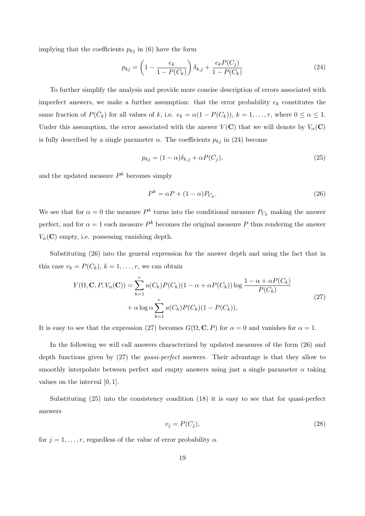implying that the coefficients  $p_{kj}$  in (6) have the form

$$
p_{kj} = \left(1 - \frac{e_k}{1 - P(C_k)}\right) \delta_{k,j} + \frac{e_k P(C_j)}{1 - P(C_k)}\tag{24}
$$

To further simplify the analysis and provide more concise description of errors associated with imperfect answers, we make a further assumption: that the error probability  $e_k$  constitutes the same fraction of  $P(\bar{C}_k)$  for all values of *k*, i.e.  $e_k = \alpha(1 - P(C_k))$ ,  $k = 1, \ldots, r$ , where  $0 \leq \alpha \leq 1$ . Under this assumption, the error associated with the answer  $V(\mathbf{C})$  that we will denote by  $V_\alpha(\mathbf{C})$ is fully described by a single parameter  $\alpha$ . The coefficients  $p_{kj}$  in (24) become

$$
p_{kj} = (1 - \alpha)\delta_{k,j} + \alpha P(C_j),\tag{25}
$$

and the updated measure  $P^k$  becomes simply

$$
P^k = \alpha P + (1 - \alpha) P_{C_k}.\tag{26}
$$

We see that for  $\alpha = 0$  the measure  $P^k$  turns into the conditional measure  $P_{C_k}$  making the answer perfect, and for  $\alpha = 1$  each measure  $P^k$  becomes the original measure P thus rendering the answer  $V_\alpha(\mathbf{C})$  empty, i.e. possessing vanishing depth.

Substituting (26) into the general expression for the answer depth and using the fact that in this case  $v_k = P(C_k)$ ,  $k = 1, \ldots, r$ , we can obtain

$$
Y(\Omega, \mathbf{C}, P, V_{\alpha}(\mathbf{C})) = \sum_{k=1}^{r} u(C_k)P(C_k)(1 - \alpha + \alpha P(C_k)) \log \frac{1 - \alpha + \alpha P(C_k)}{P(C_k)}
$$
  
+  $\alpha \log \alpha \sum_{k=1}^{r} u(C_k)P(C_k)(1 - P(C_k)),$  (27)

It is easy to see that the expression (27) becomes  $G(\Omega, \mathbf{C}, P)$  for  $\alpha = 0$  and vanishes for  $\alpha = 1$ .

In the following we will call answers characterized by updated measures of the form (26) and depth functions given by (27) the *quasi-perfect* answers. Their advantage is that they allow to smoothly interpolate between perfect and empty answers using just a single parameter  $\alpha$  taking values on the interval [0*,* 1].

Substituting (25) into the consistency condition (18) it is easy to see that for quasi-perfect answers

$$
v_j = P(C_j),\tag{28}
$$

for  $j = 1, \ldots, r$ , regardless of the value of error probability  $\alpha$ .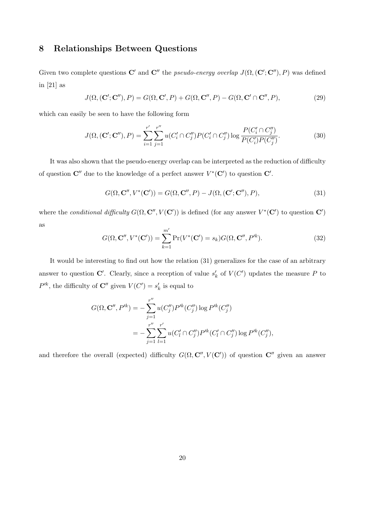## **8 Relationships Between Questions**

Given two complete questions  $\mathbf{C}'$  and  $\mathbf{C}''$  the *pseudo-energy overlap*  $J(\Omega, (\mathbf{C}'; \mathbf{C}''), P)$  was defined in [21] as

$$
J(\Omega, (\mathbf{C}'; \mathbf{C}''), P) = G(\Omega, \mathbf{C}', P) + G(\Omega, \mathbf{C}'', P) - G(\Omega, \mathbf{C}' \cap \mathbf{C}'', P),
$$
\n(29)

which can easily be seen to have the following form

$$
J(\Omega, (\mathbf{C}'; \mathbf{C}''), P) = \sum_{i=1}^{r'} \sum_{j=1}^{r''} u(C_i' \cap C_j'') P(C_i' \cap C_j'') \log \frac{P(C_i' \cap C_j'')}{P(C_i') P(C_j'')}.
$$
(30)

It was also shown that the pseudo-energy overlap can be interpreted as the reduction of difficulty of question  $\mathbf{C}''$  due to the knowledge of a perfect answer  $V^*(\mathbf{C}')$  to question  $\mathbf{C}'$ .

$$
G(\Omega, \mathbf{C}^{\prime\prime}, V^*(\mathbf{C}^\prime)) = G(\Omega, \mathbf{C}^{\prime\prime}, P) - J(\Omega, (\mathbf{C}^\prime; \mathbf{C}^{\prime\prime}), P), \tag{31}
$$

where the *conditional difficulty*  $G(\Omega, \mathbb{C}^{\prime\prime}, V(\mathbb{C}^{\prime}))$  is defined (for any answer  $V^*(\mathbb{C}^{\prime})$  to question  $\mathbb{C}^{\prime}$ ) as

$$
G(\Omega, \mathbf{C}'', V^*(\mathbf{C}')) = \sum_{k=1}^{m'} \Pr(V^*(\mathbf{C}') = s_k) G(\Omega, \mathbf{C}'', P'^k).
$$
 (32)

It would be interesting to find out how the relation (31) generalizes for the case of an arbitrary answer to question  $\mathbb{C}'$ . Clearly, since a reception of value  $s'_{k}$  of  $V(C')$  updates the measure  $P$  to  $P^{k}$ , the difficulty of **C**<sup>*′′*</sup> given  $V(C') = s'_{k}$  is equal to

$$
G(\Omega, \mathbf{C}'', P'^k) = -\sum_{j=1}^{r''} u(C''_j) P'^k(C''_j) \log P'^k(C''_j)
$$
  
= 
$$
-\sum_{j=1}^{r''} \sum_{l=1}^{r'} u(C'_l \cap C''_j) P'^k(C'_l \cap C''_j) \log P'^k(C''_j),
$$

and therefore the overall (expected) difficulty  $G(\Omega, \mathbf{C}'', V(\mathbf{C}'))$  of question  $\mathbf{C}''$  given an answer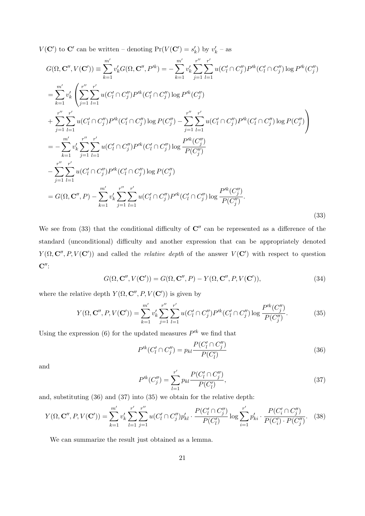*V*(**C**<sup> $\prime$ </sup>) to **C**<sup> $\prime$ </sup> can be written – denoting  $Pr(V(\mathbf{C}') = s'_k)$  by  $v'_k$  – as

$$
G(\Omega, \mathbf{C}'', V(\mathbf{C}')) = \sum_{k=1}^{m'} v'_k G(\Omega, \mathbf{C}'', P'^k) = -\sum_{k=1}^{m'} v'_k \sum_{j=1}^{r''} \sum_{l=1}^{r'} u(C'_l \cap C''_j) P'^k(C'_l \cap C''_j) \log P'^k(C''_j)
$$
  
\n
$$
= \sum_{k=1}^{m'} v'_k \left( \sum_{j=1}^{r''} \sum_{l=1}^{r'} u(C'_l \cap C''_j) P'^k(C'_l \cap C''_j) \log P'^k(C''_j)
$$
  
\n
$$
+ \sum_{j=1}^{r''} \sum_{l=1}^{r'} u(C'_l \cap C''_j) P'^k(C'_l \cap C''_j) \log P(C''_j) - \sum_{j=1}^{r''} \sum_{l=1}^{r'} u(C'_l \cap C''_j) P'^k(C'_l \cap C''_j) \log P(C''_j)
$$
  
\n
$$
= -\sum_{k=1}^{m'} v'_k \sum_{j=1}^{r''} \sum_{l=1}^{r'} u(C'_l \cap C''_j) P'^k(C'_l \cap C''_j) \log P(C''_j)
$$
  
\n
$$
- \sum_{j=1}^{r''} \sum_{l=1}^{r'} u(C'_l \cap C''_j) P'^k(C'_l \cap C''_j) \log P(C''_j)
$$
  
\n
$$
= G(\Omega, \mathbf{C}'', P) - \sum_{k=1}^{m'} v'_k \sum_{j=1}^{r''} \sum_{l=1}^{r'} u(C'_l \cap C''_j) P'^k(C'_l \cap C''_j) \log \frac{P'^k(C''_j)}{P(C''_j)}.
$$
  
\n(33)

We see from (33) that the conditional difficulty of  $\mathbb{C}^{\prime\prime}$  can be represented as a difference of the standard (unconditional) difficulty and another expression that can be appropriately denoted *Y*( $\Omega$ ,  $\mathbf{C}''$ ,  $P$ ,  $V(\mathbf{C}')$ ) and called the *relative depth* of the answer *V*( $\mathbf{C}'$ ) with respect to question **C***′′*:

$$
G(\Omega, \mathbf{C}^{\prime\prime}, V(\mathbf{C}^\prime)) = G(\Omega, \mathbf{C}^{\prime\prime}, P) - Y(\Omega, \mathbf{C}^{\prime\prime}, P, V(\mathbf{C}^\prime)),\tag{34}
$$

where the relative depth  $Y(\Omega, \mathbf{C}'', P, V(\mathbf{C}'))$  is given by

$$
Y(\Omega, \mathbf{C}'', P, V(\mathbf{C}')) = \sum_{k=1}^{m'} v'_k \sum_{j=1}^{r''} \sum_{l=1}^{r'} u(C'_l \cap C''_j) P'^k(C'_l \cap C''_j) \log \frac{P'^k(C''_j)}{P(C''_j)}.
$$
(35)

Using the expression (6) for the updated measures  $P^{k}$  we find that

$$
P'^{k}(C'_{l} \cap C''_{j}) = p_{kl} \frac{P(C'_{l} \cap C''_{j})}{P(C'_{l})}
$$
\n(36)

and

$$
P'^{k}(C''_{j}) = \sum_{l=1}^{r'} p_{kl} \frac{P(C'_{l} \cap C''_{j})}{P(C'_{l})},
$$
\n(37)

and, substituting (36) and (37) into (35) we obtain for the relative depth:

$$
Y(\Omega, \mathbf{C}'', P, V(\mathbf{C}')) = \sum_{k=1}^{m'} v'_k \sum_{l=1}^{r'} \sum_{j=1}^{r''} u(C'_l \cap C''_j) p'_{kl} \cdot \frac{P(C'_l \cap C''_j)}{P(C'_l)} \log \sum_{i=1}^{r'} p'_{ki} \cdot \frac{P(C'_i \cap C''_j)}{P(C'_i) \cdot P(C''_j)}.
$$
 (38)

We can summarize the result just obtained as a lemma.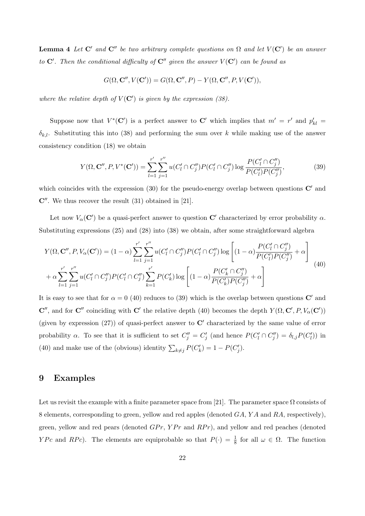**Lemma 4** *Let*  $\mathbb{C}'$  *and*  $\mathbb{C}''$  *be two arbitrary complete questions on*  $\Omega$  *and let*  $V(\mathbb{C}')$  *be an answer to*  $\mathbf{C}'$ . Then the conditional difficulty of  $\mathbf{C}''$  given the answer  $V(\mathbf{C}')$  can be found as

$$
G(\Omega, \mathbf{C}^{\prime\prime}, V(\mathbf{C}^\prime)) = G(\Omega, \mathbf{C}^{\prime\prime}, P) - Y(\Omega, \mathbf{C}^{\prime\prime}, P, V(\mathbf{C}^\prime)),
$$

*where the relative depth of*  $V(\mathbb{C}^{\prime})$  *is given by the expression (38).* 

Suppose now that  $V^*(\mathbb{C}')$  is a perfect answer to  $\mathbb{C}'$  which implies that  $m' = r'$  and  $p'_{kl} =$  $\delta_{k,l}$ . Substituting this into (38) and performing the sum over *k* while making use of the answer consistency condition (18) we obtain

$$
Y(\Omega, \mathbf{C}'', P, V^*(\mathbf{C}')) = \sum_{l=1}^{r'} \sum_{j=1}^{r''} u(C_l' \cap C_j'') P(C_l' \cap C_j'') \log \frac{P(C_l' \cap C_j'')}{P(C_l') P(C_j'')},\tag{39}
$$

which coincides with the expression (30) for the pseudo-energy overlap between questions **C***′* and **C***′′*. We thus recover the result (31) obtained in [21].

Let now  $V_\alpha(\mathbf{C}')$  be a quasi-perfect answer to question  $\mathbf{C}'$  characterized by error probability  $\alpha$ . Substituting expressions (25) and (28) into (38) we obtain, after some straightforward algebra

$$
Y(\Omega, \mathbf{C}'', P, V_{\alpha}(\mathbf{C}')) = (1 - \alpha) \sum_{l=1}^{r'} \sum_{j=1}^{r''} u(C_l' \cap C_j'') P(C_l' \cap C_j'') \log \left[ (1 - \alpha) \frac{P(C_l' \cap C_j'')}{P(C_l') P(C_j'')} + \alpha \right] + \alpha \sum_{l=1}^{r'} \sum_{j=1}^{r''} u(C_l' \cap C_j'') P(C_l' \cap C_j'') \sum_{k=1}^{r'} P(C_k') \log \left[ (1 - \alpha) \frac{P(C_k' \cap C_j'')}{P(C_k') P(C_j'')} + \alpha \right]
$$
(40)

It is easy to see that for  $\alpha = 0$  (40) reduces to (39) which is the overlap between questions **C**<sup>*'*</sup> and **C**<sup>*′′*</sup>, and for **C**<sup>*′′*</sup> coinciding with **C**<sup>*′*</sup> the relative depth (40) becomes the depth  $Y(\Omega, \mathbf{C}', P, V_\alpha(\mathbf{C}'))$ (given by expression (27)) of quasi-perfect answer to **C***′* characterized by the same value of error probability  $\alpha$ . To see that it is sufficient to set  $C''_j = C'_j$  (and hence  $P(C'_l \cap C''_j) = \delta_{l,j}P(C'_l)$ ) in (40) and make use of the (obvious) identity  $\sum_{k \neq j} P(C'_k) = 1 - P(C'_j)$ .

## **9 Examples**

Let us revisit the example with a finite parameter space from [21]. The parameter space  $\Omega$  consists of 8 elements, corresponding to green, yellow and red apples (denoted *GA*, *Y A* and *RA*, respectively), green, yellow and red pears (denoted *GPr*, *YPr* and *RPr*), and yellow and red peaches (denoted *YPc* and *RPc*). The elements are equiprobable so that  $P(\cdot) = \frac{1}{8}$  for all  $\omega \in \Omega$ . The function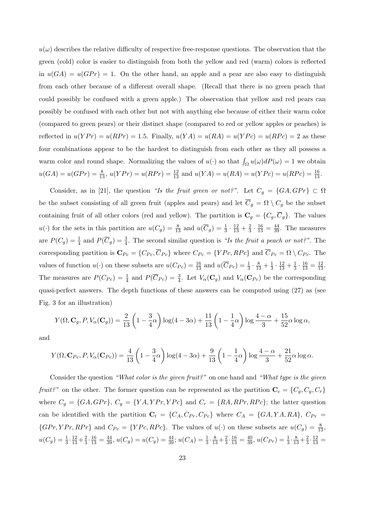$u(\omega)$  describes the relative difficulty of respective free-response questions. The observation that the green (cold) color is easier to distinguish from both the yellow and red (warm) colors is reflected in  $u(GA) = u(GPr) = 1$ . On the other hand, an apple and a pear are also easy to distinguish from each other because of a different overall shape. (Recall that there is no green peach that could possibly be confused with a green apple.) The observation that yellow and red pears can possibly be confused with each other but not with anything else because of either their warm color (compared to green pears) or their distinct shape (compared to red or yellow apples or peaches) is reflected in  $u(YPr) = u(RPr) = 1.5$ . Finally,  $u(YA) = u(RA) = u(YPc) = u(RPc) = 2$  as these four combinations appear to be the hardest to distinguish from each other as they all possess a warm color and round shape. Normalizing the values of  $u(\cdot)$  so that  $\int_{\Omega} u(\omega) dP(\omega) = 1$  we obtain  $u(GA) = u(GPr) = \frac{8}{13}$ ,  $u(YPr) = u(RPr) = \frac{12}{13}$  and  $u(YA) = u(RA) = u(YPc) = u(RPc) = \frac{16}{13}$ .

Consider, as in [21], the question *"Is the fruit green or not?"*. Let  $C_g = \{GA, GPr\} \subset \Omega$ be the subset consisting of all green fruit (apples and pears) and let  $\overline{C}_g = \Omega \setminus C_g$  be the subset containing fruit of all other colors (red and yellow). The partition is  $\mathbf{C}_g = \{C_g, \overline{C}_g\}$ . The values  $u(\cdot)$  for the sets in this partition are  $u(C_g) = \frac{8}{13}$  and  $u(\overline{C}_g) = \frac{1}{3} \cdot \frac{12}{13} + \frac{2}{3}$  $\frac{2}{3} \cdot \frac{16}{13} = \frac{44}{39}$ . The measures are  $P(C_g) = \frac{1}{4}$  and  $P(\overline{C}_g) = \frac{3}{4}$ . The second similar question is *"Is the fruit a peach or not?"*. The corresponding partition is  $\mathbf{C}_{Pc} = \{C_{Pc}, \overline{C}_{Pc}\}\$  where  $C_{Pc} = \{YPc, RPc\}$  and  $\overline{C}_{Pc} = \Omega \setminus C_{Pc}$ . The values of function  $u(\cdot)$  on these subsets are  $u(C_{P_c}) = \frac{16}{13}$  and  $u(\overline{C}_{P_c}) = \frac{1}{3} \cdot \frac{8}{13} + \frac{1}{3}$  $\frac{1}{3} \cdot \frac{12}{13} + \frac{1}{3}$  $\frac{1}{3} \cdot \frac{16}{13} = \frac{12}{13}.$ The measures are  $P(C_{P_c}) = \frac{1}{4}$  and  $P(\overline{C}_{P_c}) = \frac{3}{4}$ . Let  $V_\alpha(\mathbf{C}_g)$  and  $V_\alpha(\mathbf{C}_{P_c})$  be the corresponding quasi-perfect answers. The depth functions of these answers can be computed using (27) as (see Fig. 3 for an illustration)

$$
Y(\Omega, \mathbf{C}_g, P, V_{\alpha}(\mathbf{C}_g)) = \frac{2}{13} \left( 1 - \frac{3}{4} \alpha \right) \log(4 - 3\alpha) + \frac{11}{13} \left( 1 - \frac{1}{4} \alpha \right) \log \frac{4 - \alpha}{3} + \frac{15}{52} \alpha \log \alpha,
$$

and

$$
Y(\Omega, \mathbf{C}_{Pc}, P, V_{\alpha}(\mathbf{C}_{Pc})) = \frac{4}{13} \left( 1 - \frac{3}{4} \alpha \right) \log(4 - 3\alpha) + \frac{9}{13} \left( 1 - \frac{1}{4} \alpha \right) \log \frac{4 - \alpha}{3} + \frac{21}{52} \alpha \log \alpha.
$$

Consider the question *"What color is the given fruit?"* on one hand and *"What type is the given fruit?*" on the other. The former question can be represented as the partition  $\mathbf{C}_c = \{C_g, C_y, C_r\}$ where  $C_g = \{GA, GPr\}$ ,  $C_y = \{YA, YPr, YPc\}$  and  $C_r = \{RA, RPr, RPr\}$ ; the latter question can be identified with the partition  $\mathbf{C}_t = \{C_A, C_{Pr}, C_{P_c}\}$  where  $C_A = \{GA, YA, RA\}$ ,  $C_{Pr} =$  ${GPr, YPr, RPr}$  and  $C_{Pc} = {YPc, RPc}$ . The values of  $u(\cdot)$  on these subsets are  $u(C_g) = \frac{8}{13}$ ,  $u(C_y) = \frac{1}{3} \cdot \frac{12}{13} + \frac{2}{3}$  $\frac{2}{3} \cdot \frac{16}{13} = \frac{44}{39}, u(C_g) = u(C_y) = \frac{44}{39}; u(C_A) = \frac{1}{3} \cdot \frac{8}{13} + \frac{2}{39}$  $\frac{2}{3} \cdot \frac{16}{13} = \frac{40}{39}, u(C_{Pr}) = \frac{1}{3} \cdot \frac{8}{13} + \frac{2}{3}$  $\frac{2}{3} \cdot \frac{12}{13} =$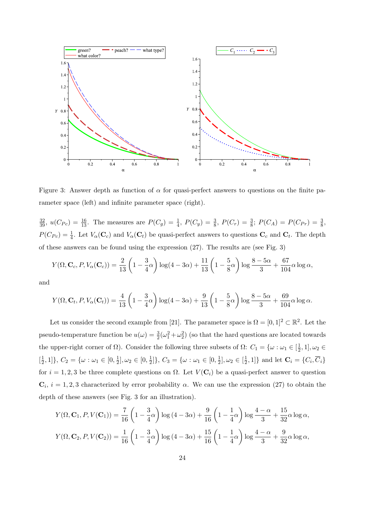

Figure 3: Answer depth as function of *α* for quasi-perfect answers to questions on the finite parameter space (left) and infinite parameter space (right).

 $\frac{32}{39}$ ,  $u(C_{Pc}) = \frac{16}{13}$ . The measures are  $P(C_g) = \frac{1}{4}$ ,  $P(C_y) = \frac{3}{8}$ ,  $P(C_r) = \frac{3}{8}$ ;  $P(C_A) = P(C_{Pr}) = \frac{3}{8}$ ,  $P(C_{P_c}) = \frac{1}{4}$ . Let  $V_\alpha(\mathbf{C}_c)$  and  $V_\alpha(\mathbf{C}_t)$  be quasi-perfect answers to questions  $\mathbf{C}_c$  and  $\mathbf{C}_t$ . The depth of these answers can be found using the expression (27). The results are (see Fig. 3)

$$
Y(\Omega, \mathbf{C}_c, P, V_{\alpha}(\mathbf{C}_c)) = \frac{2}{13} \left( 1 - \frac{3}{4} \alpha \right) \log(4 - 3\alpha) + \frac{11}{13} \left( 1 - \frac{5}{8} \alpha \right) \log \frac{8 - 5\alpha}{3} + \frac{67}{104} \alpha \log \alpha,
$$

and

$$
Y(\Omega, \mathbf{C}_t, P, V_{\alpha}(\mathbf{C}_t)) = \frac{4}{13} \left( 1 - \frac{3}{4} \alpha \right) \log(4 - 3\alpha) + \frac{9}{13} \left( 1 - \frac{5}{8} \alpha \right) \log \frac{8 - 5\alpha}{3} + \frac{69}{104} \alpha \log \alpha.
$$

Let us consider the second example from [21]. The parameter space is  $\Omega = [0,1]^2 \subset \mathbb{R}^2$ . Let the pseudo-temperature function be  $u(\omega) = \frac{3}{2}(\omega_1^2 + \omega_2^2)$  (so that the hard questions are located towards the upper-right corner of  $\Omega$ ). Consider the following three subsets of  $\Omega$ :  $C_1 = \{ \omega : \omega_1 \in [\frac{1}{2}] \}$  $(\frac{1}{2}, 1], \omega_2 \in$  $\left[\frac{1}{2}\right]$  $\left[\frac{1}{2}, 1\right]$ *}*,  $C_2 = \{\omega : \omega_1 \in [0, \frac{1}{2}]$  $\frac{1}{2}$ ,  $\omega_2 \in [0, \frac{1}{2}]$  $\left[\frac{1}{2}\right]$ ,  $C_3 = \{\omega : \omega_1 \in [0, \frac{1}{2}]$  $\frac{1}{2}$ ,  $\omega_2 \in [\frac{1}{2}]$  $\left\{ \frac{1}{2}, 1 \right\}$  and let  $\mathbf{C}_i = \{C_i, C_i\}$ for  $i = 1, 2, 3$  be three complete questions on  $\Omega$ . Let  $V(\mathbf{C}_i)$  be a quasi-perfect answer to question  $\mathbf{C}_i$ ,  $i = 1, 2, 3$  characterized by error probability  $\alpha$ . We can use the expression (27) to obtain the depth of these answers (see Fig. 3 for an illustration).

$$
Y(\Omega, \mathbf{C}_1, P, V(\mathbf{C}_1)) = \frac{7}{16} \left( 1 - \frac{3}{4}\alpha \right) \log (4 - 3\alpha) + \frac{9}{16} \left( 1 - \frac{1}{4}\alpha \right) \log \frac{4 - \alpha}{3} + \frac{15}{32}\alpha \log \alpha,
$$
  

$$
Y(\Omega, \mathbf{C}_2, P, V(\mathbf{C}_2)) = \frac{1}{16} \left( 1 - \frac{3}{4}\alpha \right) \log (4 - 3\alpha) + \frac{15}{16} \left( 1 - \frac{1}{4}\alpha \right) \log \frac{4 - \alpha}{3} + \frac{9}{32}\alpha \log \alpha,
$$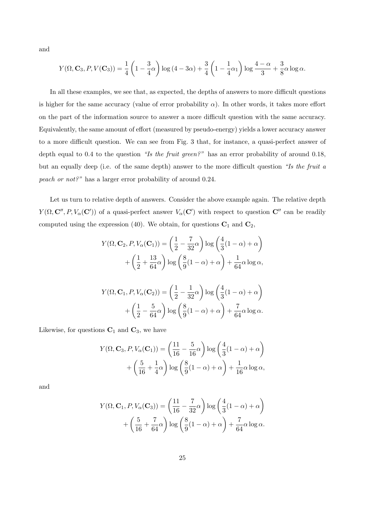and

$$
Y(\Omega, \mathbf{C}_3, P, V(\mathbf{C}_3)) = \frac{1}{4} \left( 1 - \frac{3}{4}\alpha \right) \log (4 - 3\alpha) + \frac{3}{4} \left( 1 - \frac{1}{4}\alpha_1 \right) \log \frac{4 - \alpha}{3} + \frac{3}{8}\alpha \log \alpha.
$$

In all these examples, we see that, as expected, the depths of answers to more difficult questions is higher for the same accuracy (value of error probability  $\alpha$ ). In other words, it takes more effort on the part of the information source to answer a more difficult question with the same accuracy. Equivalently, the same amount of effort (measured by pseudo-energy) yields a lower accuracy answer to a more difficult question. We can see from Fig. 3 that, for instance, a quasi-perfect answer of depth equal to 0.4 to the question *"Is the fruit green?"* has an error probability of around 0.18, but an equally deep (i.e. of the same depth) answer to the more difficult question *"Is the fruit a peach or not?"* has a larger error probability of around 0.24.

Let us turn to relative depth of answers. Consider the above example again. The relative depth *Y*( $\Omega$ ,  $C''$ ,  $P$ ,  $V_\alpha$ ( $C'$ )) of a quasi-perfect answer  $V_\alpha$ ( $C'$ ) with respect to question  $C''$  can be readily computed using the expression (40). We obtain, for questions  $C_1$  and  $C_2$ ,

$$
Y(\Omega, \mathbf{C}_2, P, V_{\alpha}(\mathbf{C}_1)) = \left(\frac{1}{2} - \frac{7}{32}\alpha\right) \log\left(\frac{4}{3}(1-\alpha) + \alpha\right) + \left(\frac{1}{2} + \frac{13}{64}\alpha\right) \log\left(\frac{8}{9}(1-\alpha) + \alpha\right) + \frac{1}{64}\alpha \log \alpha, Y(\Omega, \mathbf{C}_1, P, V_{\alpha}(\mathbf{C}_2)) = \left(\frac{1}{2} - \frac{1}{32}\alpha\right) \log\left(\frac{4}{3}(1-\alpha) + \alpha\right) + \left(\frac{1}{2} - \frac{5}{64}\alpha\right) \log\left(\frac{8}{9}(1-\alpha) + \alpha\right) + \frac{7}{64}\alpha \log \alpha.
$$

Likewise, for questions  $C_1$  and  $C_3$ , we have

$$
Y(\Omega, \mathbf{C}_3, P, V_{\alpha}(\mathbf{C}_1)) = \left(\frac{11}{16} - \frac{5}{16}\alpha\right) \log\left(\frac{4}{3}(1-\alpha) + \alpha\right) + \left(\frac{5}{16} + \frac{1}{4}\alpha\right) \log\left(\frac{8}{9}(1-\alpha) + \alpha\right) + \frac{1}{16}\alpha \log \alpha,
$$

and

$$
Y(\Omega, \mathbf{C}_1, P, V_{\alpha}(\mathbf{C}_3)) = \left(\frac{11}{16} - \frac{7}{32}\alpha\right) \log\left(\frac{4}{3}(1-\alpha) + \alpha\right) + \left(\frac{5}{16} + \frac{7}{64}\alpha\right) \log\left(\frac{8}{9}(1-\alpha) + \alpha\right) + \frac{7}{64}\alpha \log\alpha.
$$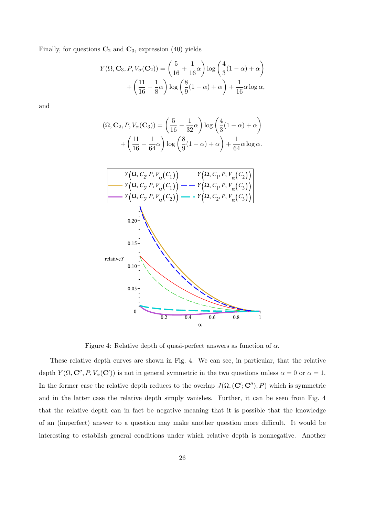Finally, for questions  $C_2$  and  $C_3$ , expression (40) yields

$$
Y(\Omega, \mathbf{C}_3, P, V_{\alpha}(\mathbf{C}_2)) = \left(\frac{5}{16} + \frac{1}{16}\alpha\right) \log\left(\frac{4}{3}(1-\alpha) + \alpha\right) + \left(\frac{11}{16} - \frac{1}{8}\alpha\right) \log\left(\frac{8}{9}(1-\alpha) + \alpha\right) + \frac{1}{16}\alpha \log\alpha,
$$

and

$$
(\Omega, \mathbf{C}_2, P, V_{\alpha}(\mathbf{C}_3)) = \left(\frac{5}{16} - \frac{1}{32}\alpha\right) \log\left(\frac{4}{3}(1-\alpha) + \alpha\right) + \left(\frac{11}{16} + \frac{1}{64}\alpha\right) \log\left(\frac{8}{9}(1-\alpha) + \alpha\right) + \frac{1}{64}\alpha \log\alpha.
$$



Figure 4: Relative depth of quasi-perfect answers as function of *α*.

These relative depth curves are shown in Fig. 4. We can see, in particular, that the relative depth  $Y(\Omega, \mathbf{C}'', P, V_{\alpha}(\mathbf{C}'))$  is not in general symmetric in the two questions unless  $\alpha = 0$  or  $\alpha = 1$ . In the former case the relative depth reduces to the overlap  $J(\Omega, (\mathbf{C}'; \mathbf{C}''), P)$  which is symmetric and in the latter case the relative depth simply vanishes. Further, it can be seen from Fig. 4 that the relative depth can in fact be negative meaning that it is possible that the knowledge of an (imperfect) answer to a question may make another question more difficult. It would be interesting to establish general conditions under which relative depth is nonnegative. Another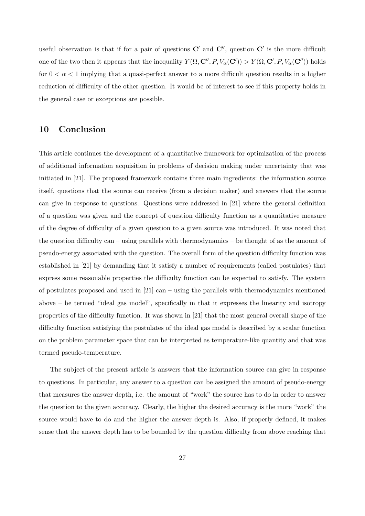useful observation is that if for a pair of questions **C***′* and **C***′′*, question **C***′* is the more difficult one of the two then it appears that the inequality  $Y(\Omega, \mathbf{C}'', P, V_\alpha(\mathbf{C}')) > Y(\Omega, \mathbf{C}', P, V_\alpha(\mathbf{C}''))$  holds for  $0 < \alpha < 1$  implying that a quasi-perfect answer to a more difficult question results in a higher reduction of difficulty of the other question. It would be of interest to see if this property holds in the general case or exceptions are possible.

## **10 Conclusion**

This article continues the development of a quantitative framework for optimization of the process of additional information acquisition in problems of decision making under uncertainty that was initiated in [21]. The proposed framework contains three main ingredients: the information source itself, questions that the source can receive (from a decision maker) and answers that the source can give in response to questions. Questions were addressed in [21] where the general definition of a question was given and the concept of question difficulty function as a quantitative measure of the degree of difficulty of a given question to a given source was introduced. It was noted that the question difficulty can – using parallels with thermodynamics – be thought of as the amount of pseudo-energy associated with the question. The overall form of the question difficulty function was established in [21] by demanding that it satisfy a number of requirements (called postulates) that express some reasonable properties the difficulty function can be expected to satisfy. The system of postulates proposed and used in  $[21]$  can – using the parallels with thermodynamics mentioned above – be termed "ideal gas model", specifically in that it expresses the linearity and isotropy properties of the difficulty function. It was shown in [21] that the most general overall shape of the difficulty function satisfying the postulates of the ideal gas model is described by a scalar function on the problem parameter space that can be interpreted as temperature-like quantity and that was termed pseudo-temperature.

The subject of the present article is answers that the information source can give in response to questions. In particular, any answer to a question can be assigned the amount of pseudo-energy that measures the answer depth, i.e. the amount of "work" the source has to do in order to answer the question to the given accuracy. Clearly, the higher the desired accuracy is the more "work" the source would have to do and the higher the answer depth is. Also, if properly defined, it makes sense that the answer depth has to be bounded by the question difficulty from above reaching that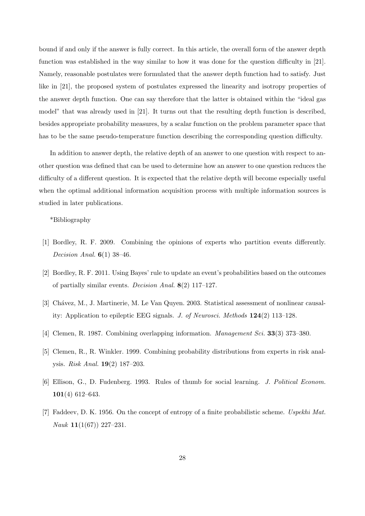bound if and only if the answer is fully correct. In this article, the overall form of the answer depth function was established in the way similar to how it was done for the question difficulty in [21]. Namely, reasonable postulates were formulated that the answer depth function had to satisfy. Just like in [21], the proposed system of postulates expressed the linearity and isotropy properties of the answer depth function. One can say therefore that the latter is obtained within the "ideal gas model" that was already used in [21]. It turns out that the resulting depth function is described, besides appropriate probability measures, by a scalar function on the problem parameter space that has to be the same pseudo-temperature function describing the corresponding question difficulty.

In addition to answer depth, the relative depth of an answer to one question with respect to another question was defined that can be used to determine how an answer to one question reduces the difficulty of a different question. It is expected that the relative depth will become especially useful when the optimal additional information acquisition process with multiple information sources is studied in later publications.

\*Bibliography

- [1] Bordley, R. F. 2009. Combining the opinions of experts who partition events differently. *Decision Anal.* **6**(1) 38–46.
- [2] Bordley, R. F. 2011. Using Bayes' rule to update an event's probabilities based on the outcomes of partially similar events. *Decision Anal.* **8**(2) 117–127.
- [3] Chávez, M., J. Martinerie, M. Le Van Quyen. 2003. Statistical assessment of nonlinear causality: Application to epileptic EEG signals. *J. of Neurosci. Methods* **124**(2) 113–128.
- [4] Clemen, R. 1987. Combining overlapping information. *Management Sci.* **33**(3) 373–380.
- [5] Clemen, R., R. Winkler. 1999. Combining probability distributions from experts in risk analysis. *Risk Anal.* **19**(2) 187–203.
- [6] Ellison, G., D. Fudenberg. 1993. Rules of thumb for social learning. *J. Political Econom.* **101**(4) 612–643.
- [7] Faddeev, D. K. 1956. On the concept of entropy of a finite probabilistic scheme. *Uspekhi Mat. Nauk* **11**(1(67)) 227–231.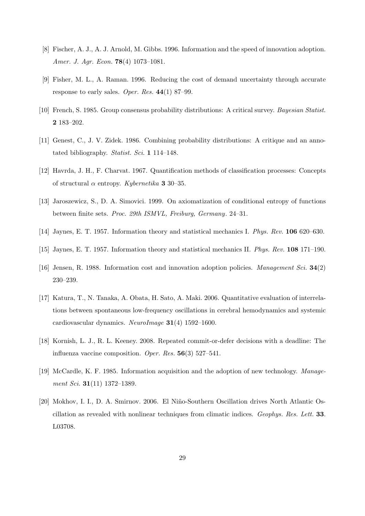- [8] Fischer, A. J., A. J. Arnold, M. Gibbs. 1996. Information and the speed of innovation adoption. *Amer. J. Agr. Econ.* **78**(4) 1073–1081.
- [9] Fisher, M. L., A. Raman. 1996. Reducing the cost of demand uncertainty through accurate response to early sales. *Oper. Res.* **44**(1) 87–99.
- [10] French, S. 1985. Group consensus probability distributions: A critical survey. *Bayesian Statist.* **2** 183–202.
- [11] Genest, C., J. V. Zidek. 1986. Combining probability distributions: A critique and an annotated bibliography. *Statist. Sci.* **1** 114–148.
- [12] Havrda, J. H., F. Charvat. 1967. Quantification methods of classification processes: Concepts of structural *α* entropy. *Kybernetika* **3** 30–35.
- [13] Jaroszewicz, S., D. A. Simovici. 1999. On axiomatization of conditional entropy of functions between finite sets. *Proc. 29th ISMVL, Freiburg, Germany*. 24–31.
- [14] Jaynes, E. T. 1957. Information theory and statistical mechanics I. *Phys. Rev.* **106** 620–630.
- [15] Jaynes, E. T. 1957. Information theory and statistical mechanics II. *Phys. Rev.* **108** 171–190.
- [16] Jensen, R. 1988. Information cost and innovation adoption policies. *Management Sci.* **34**(2) 230–239.
- [17] Katura, T., N. Tanaka, A. Obata, H. Sato, A. Maki. 2006. Quantitative evaluation of interrelations between spontaneous low-frequency oscillations in cerebral hemodynamics and systemic cardiovascular dynamics. *NeuroImage* **31**(4) 1592–1600.
- [18] Kornish, L. J., R. L. Keeney. 2008. Repeated commit-or-defer decisions with a deadline: The influenza vaccine composition. *Oper. Res.* **56**(3) 527–541.
- [19] McCardle, K. F. 1985. Information acquisition and the adoption of new technology. *Management Sci.* **31**(11) 1372–1389.
- [20] Mokhov, I. I., D. A. Smirnov. 2006. El Niño-Southern Oscillation drives North Atlantic Oscillation as revealed with nonlinear techniques from climatic indices. *Geophys. Res. Lett.* **33**. L03708.